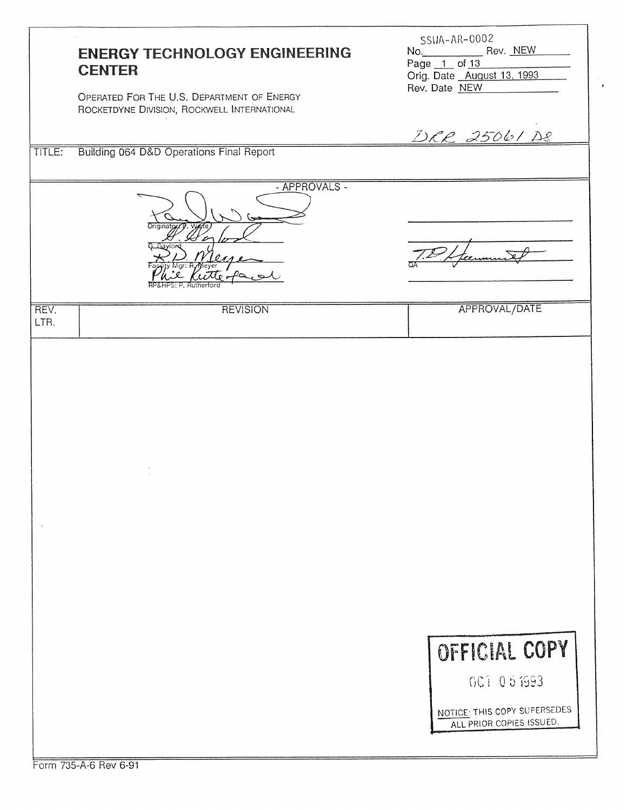|              | <b>ENERGY TECHNOLOGY ENGINEERING</b><br><b>CENTER</b><br>OPERATED FOR THE U.S. DEPARTMENT OF ENERGY<br>ROCKETDYNE DIVISION, ROCKWELL INTERNATIONAL | SSWA-AR-0002<br>No. Rev. NEW<br>Page 1 of 13<br>Orig. Date August 13, 1993<br>Rev. Date NEW<br><u>DRR 25061 DR</u> |
|--------------|----------------------------------------------------------------------------------------------------------------------------------------------------|--------------------------------------------------------------------------------------------------------------------|
| TITLE:       | Building 064 D&D Operations Final Report                                                                                                           |                                                                                                                    |
|              | - APPROVALS -                                                                                                                                      |                                                                                                                    |
| REV.<br>LTR. | <b>REVISION</b>                                                                                                                                    | APPROVAL/DATE                                                                                                      |
|              |                                                                                                                                                    |                                                                                                                    |
|              | Form 735-A-6 Bey 6-91                                                                                                                              | OFFICIAL COPY<br>001 05 1993<br>NOTICE: THIS COPY SUPERSEDES<br>ALL PRIOR COPIES ISSUED.                           |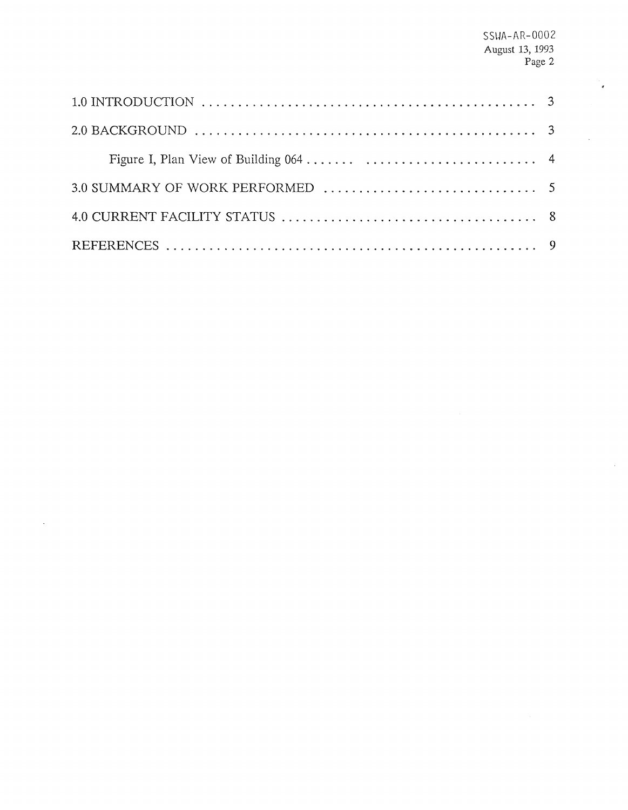$\overline{a}$ 

 $\mathcal{A}^{\mathcal{A}}$ 

J.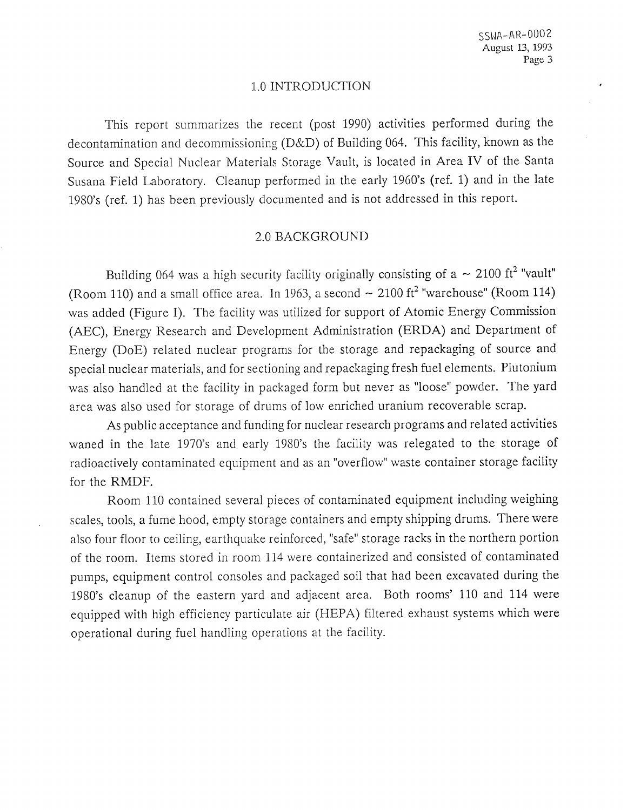#### 1.0 INTRODUGTION

This report summarizes the recent (post 1990) activities performed during the decontamination and decommissioning (D&D) of Building 064. This facility, known as the Source and Special Nuclear Materials Storage Vault, is located in Area IV of the Santa Susana Field Laboratory. Cleanup performed in the early 1960's (ref. 1) and in the late 1980's (ref. 1) has been previously documented and is not addressed in this report.

#### 2.0 BACKGROUND

Building 064 was a high security facility originally consisting of a  $\sim 2100$  ft<sup>2</sup> "vault" (Room 110) and a small office area. In 1963, a second  $\sim 2100$  ft<sup>2</sup> "warehouse" (Room 114) was added (Figure I). The facility was utilized for support of Atomic Energy Commission (AEC), Energy Research and Development Administration (ERDA) and Department of Energy (DOE) related nuclear programs for the storage and repackaging of source and special nuclear materials, and for sectioning and repackaging fresh fuel elements. Plutonium was also handled at the facility in packaged form but never as "loose" powder. The yard area was also used for storage of drums of low enriched uranium recoverable scrap.

**As** public acceptance and funding for nuclear research programs and related activities waned in the late 1970's and early 1980's the facility was relegated to the storage of radioactively contaminated equipment and as an "overflow" waste container storage facility for the RMDF.

Room 110 contained several pieces of contaminated equipment including weighing scales, tools, a fume hood, empty storage containers and empty shipping drums. There were also four floor to ceiling, earthquake reinforced, "safe" storage racks in the northern portion of the room. Items stored in room 114 were containerized and consisted of contaminated pumps, equipment control consoles and packaged soil that had been excavated during the 1980's cleanup of the eastern yard and adjacent area. Both rooms' 110 and 114 were equipped with high efficiency particulate air (HEPA) filtered exhaust systems which were operational during fuel handling operations at the facility.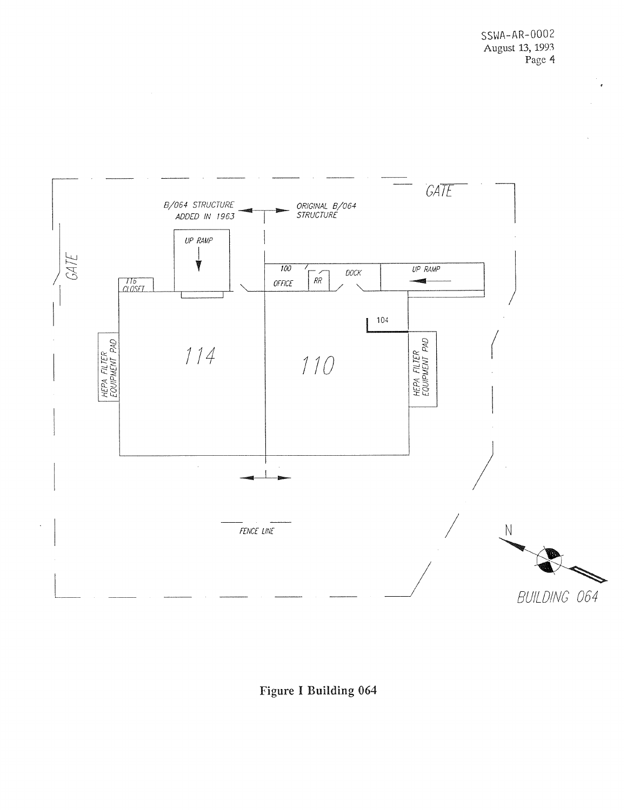

# Figure I Building 064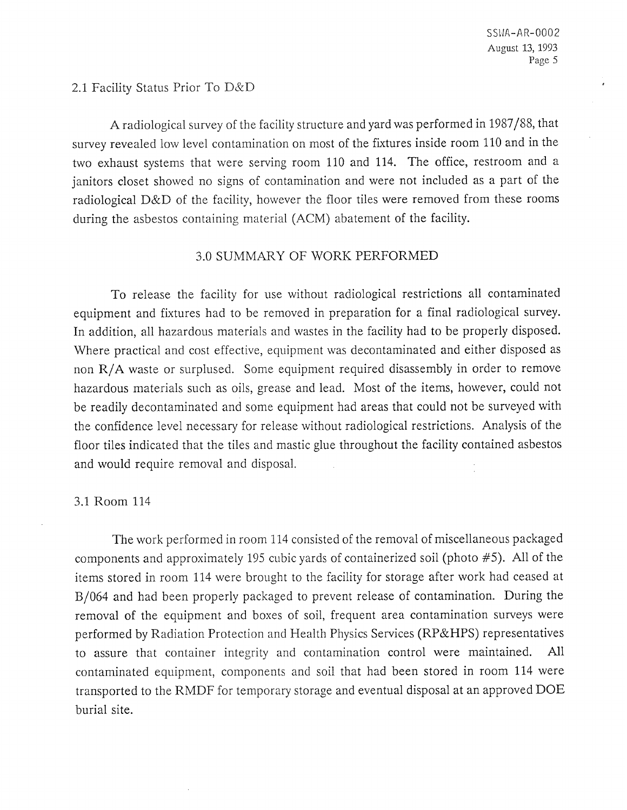#### 2.1 Facility Status Prior To D&D

A radiological survey of the facility structure and yard was performed in 1987/88, that survey revealed low level contamination on most of the fixtures inside room 110 and in the two exhaust systems that were serving room 110 and 114. The office, restroom and a janitors closet showed no signs of contamination and were not included as a part of the radiological D&D of the facility, however the floor tiles were removed from these rooms during the asbestos containing material (ACM) abatement of the facility.

## 3.0 SUMMARY OF WORK PERFORMED

To release the facility for use without radiological restrictions all contaminated equipment and fixtures had to be removed in preparation for a final radiological survey. In addition, all hazardous materials and wastes in the facility had to be properly disposed. Where practical and cost effective, equipment was decontaminated and either disposed as non R/A waste or surplused. Some equipment required disassembly in order to remove hazardous materials such as oils, grease and lead. Most of the items, however, could not be readily decontaminated and some equipment had areas that could not be surveyed with the confidence level necessary for release without radiological restrictions. Analysis of the floor tiles indicated that the tiles and mastic glue throughout the facility contained asbestos and would require removal and disposal.

#### 3.1 Room 114

The work performed in room 114 consisted of the removal of miscellaneous packaged components and approximately 195 cubic yards of containerized soil (photo *#5).* All of the items stored in room 114 were brought to the facility for storage after work had ceased at B/064 and had been properly packaged to prevent release of contamination. During the removal of the equipment and boxes of soil, frequent area contamination surveys were performed by Radiation Protection and Health Physics Services (RP&HPS) representatives to assure that container integrity and contamination control were maintained. All contaminated equipment, components and soil that had been stored in room 114 were transported to the RMDF for temporary storage and eventual disposal at an approved DOE burial site.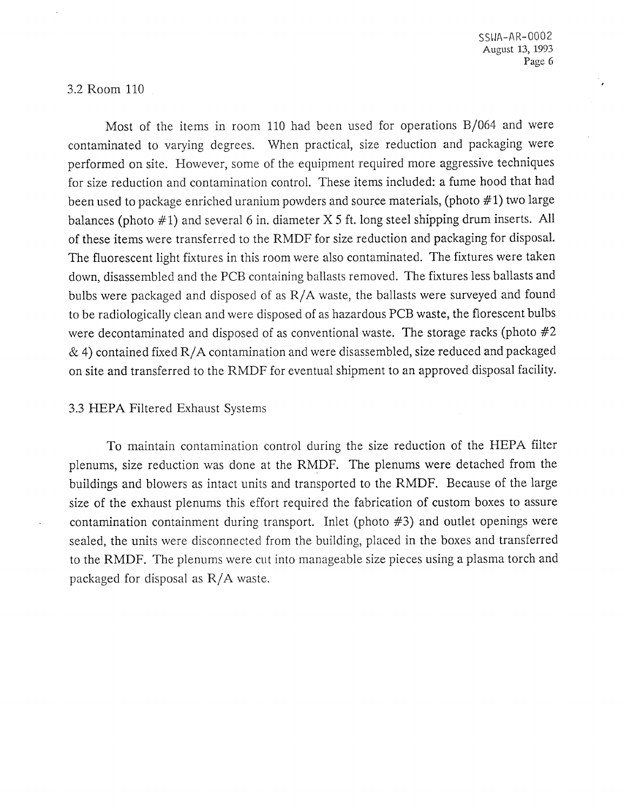## 3.2 Room 110

Most of the items in room 110 had been used for operations  $B/064$  and were contaminated to varying degrees. When practical, size reduction and packaging were performed on site. However, some of the equipment required more aggressive techniques for size reduction and contamination control. These items included: a fume hood that had been used to package enriched uranium powders and source materials, (photo #1) two large balances (photo #I) and several 6 in. diameter X *5* ft. long steel shipping drum inserts. All of these items were transferred to the RMDF for size reduction and packaging for disposal. The fluorescent light fixtures in this room were also contaminated. The fixtures were taken down, disassembled and the PCB containing ballasts removed. The fixtures less ballasts and bulbs were packaged and disposed of as R/A waste, the ballasts were surveyed and found to be radiologically clean and were disposed of as hazardous PCB waste, the florescent bulbs were decontaminated and disposed of as conventional waste. The storage racks (photo  $#2$  $\&$  4) contained fixed R/A contamination and were disassembled, size reduced and packaged on site and transferred to the RMDF for eventual shipment to an approved disposal facility.

## 3.3 HEPA Filtered Exhaust Systems

To maintain contamination control during the size reduction of the HEPA filter plenums, size reduction was done at the RMDF. The plenums were detached from the buildings and blowers as intact units and transported to the RMDF. Because of the large size of the exhaust plenums this effort required the fabrication of custom boxes to assure contamination containment during transport. Inlet (photo #3) and outlet openings were sealed, the units were disconnected from the building, placed in the boxes and transferred to the RMDF. The plenums were cut into manageable size pieces using a plasma torch and packaged for disposal as R/A waste.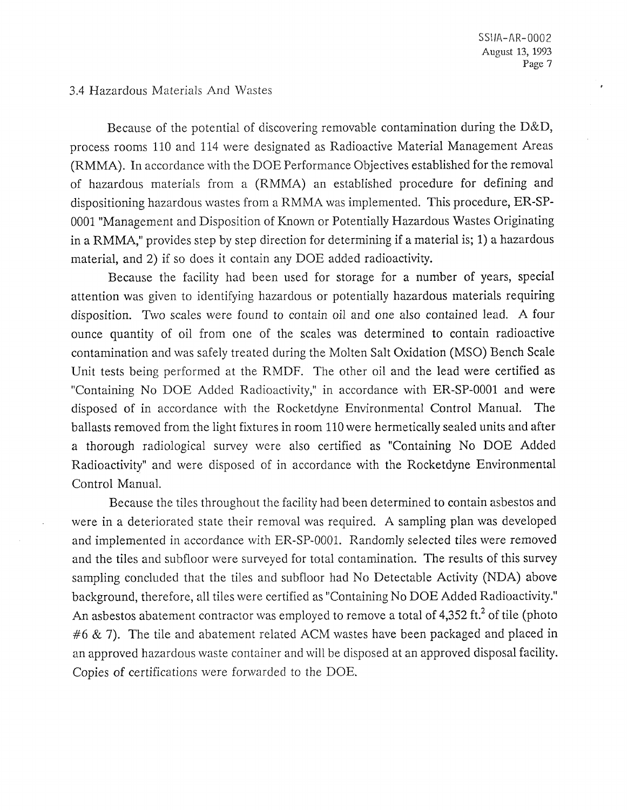### 3.4 Hazardous Materials And Wastes

Because of the potential of discovering removable contamination during the  $D&D$ , process rooms 110 and 114 were designated as Radioactive Material Management Areas (RMMA). In accordance with the DOE Performance Objectives established for the removal of hazardous materials from a (RMMA) an established procedure for defining and dispositioning hazardous wastes from a RMMA was implemented. This procedure, ER-SP-0001 "Management and Disposition of Known or Potentially Hazardous Wastes Originating in a RMMA," provides step by step direction for determining if a material is; 1) a hazardous material, and 2) if so does it contain any DOE added radioactivity.

Because the facility had been used for storage for a number of years, special attention was given to identifying hazardous or potentially hazardous materials requiring disposition. Two scales were found to contain oil and one also contained lead. A four ounce quantity of oil from one of the scales was determined to contain radioactive contamination and was safely treated during the Molten Salt Oxidation (MSO) Bench Scale Unit tests being performed at the RMDF. The other oil and the lead were certified as "Containing No DOE Added Radioactivity," in accordance with ER-SP-0001 and were disposed of in accordance with the Rocketdyne Environmental Control Manual. The ballasts removed from the light fixtures in room 110 were hermetically sealed units and after a thorough radiological survey were also certified as "Containing No DOE Added Radioactivity" and were disposed of in accordance with the Rocketdyne Environmental Control Manual.

Because the tiles throughout the facility had been determined to contain asbestos and were in a deteriorated state their removal was required. A sampling plan was developed and implemented in accordance with ER-SP-0001. Randomly selected tiles were removed and the tiles and subfloor were surveyed for total contamination. The results of this survey sampling concluded that the tiles and subfloor had No Detectable Activity (NDA) above background, therefore, all tiles were certified as "Containing No DOE Added Radioactivity." An asbestos abatement contractor was employed to remove a total of 4,352 ft.<sup>2</sup> of tile (photo  $#6 \& 7$ ). The tile and abatement related ACM wastes have been packaged and placed in an approved hazardous waste container and will be disposed at an approved disposal facility. Copies of certifications were forwarded to the DOE.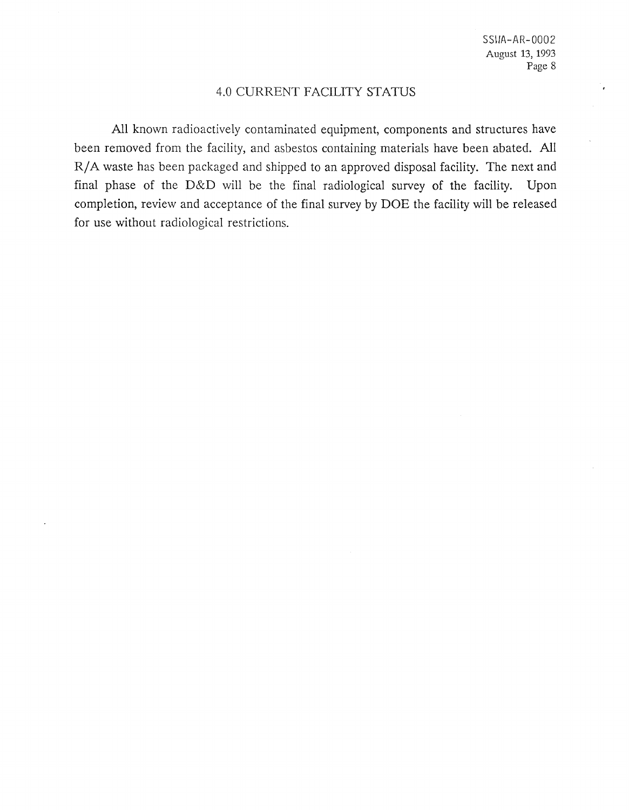## 4.0 CURRENT FACILITY STATUS

All known radioactively contaminated equipment, components and structures have been removed from the facility, and asbestos containing materials have been abated. All R/A waste has been packaged and shipped to an approved disposal facility. The next and final phase of the D&D will be the final radiological survey of the facility. Upon completion, review and acceptance of the final survey by DOE the facility will be released for use without radiological restrictions.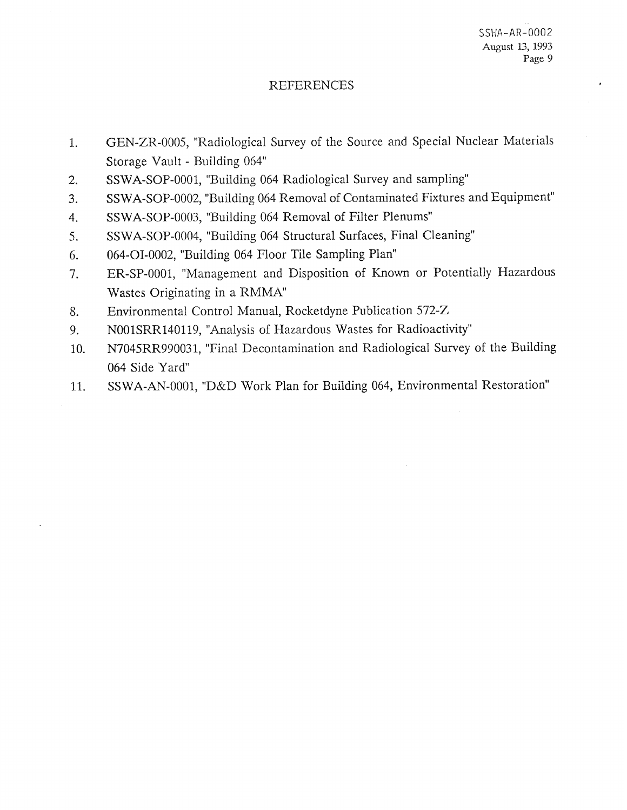## REFERENCES

- GEN-ZR-0005, "Radiological Survey of the Source and Special Nuclear Materials  $1.$ Storage Vault - Building 064"
- SSWA-SOP-0001, "Building 064 Radiological Survey and sampling"  $2.$
- SSWA-SOP-0002, "Building 064 Removal of Contaminated  $3.$
- SSWA-SOP-0003, "Building 064 Removal of Filter Plenums" 4.
- 5. SSWA-SOP-0004, "Building 064 Structural Surfaces, Final Cleaning"
- 064-01-0002, "Building 064 Floor Tile Sampling Plan" 6.
- ER-SP-0001, "Management and Disposition of Known or  $7.$ Wastes Originating in a RMMA"
- 8. Environmental Control Manual, Rocketdyne Publication 572-Z
- NOOlSRR140119, "Analysis of Hazardous Wastes for Radioactivity" 9.
- N7045RR990031, "Final Decontamination and Radiological Survey of the Building 10. 064 Side Yard"
- SSWA-AN-0001, "D&D Work Plan for Building 064, Environmental Restoration" 11.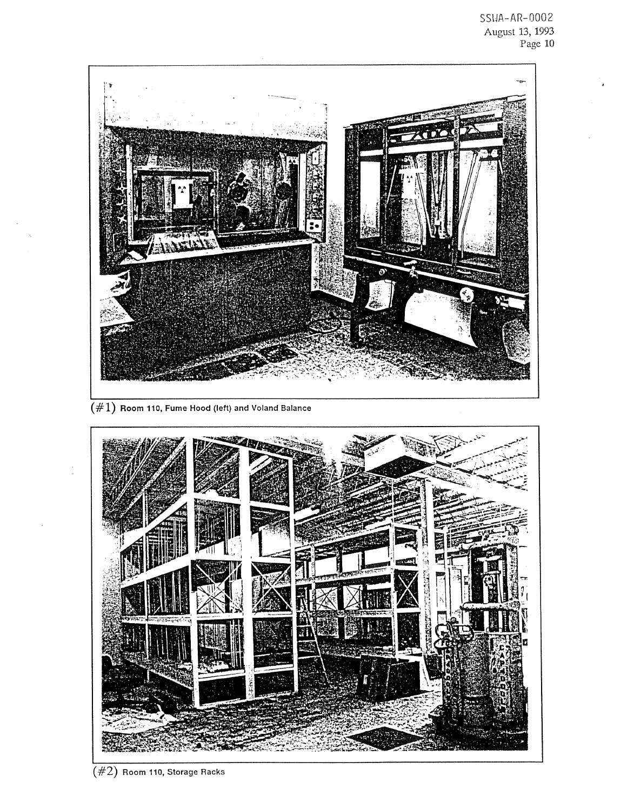

 $(\#2)$  Room 110, Storage Racks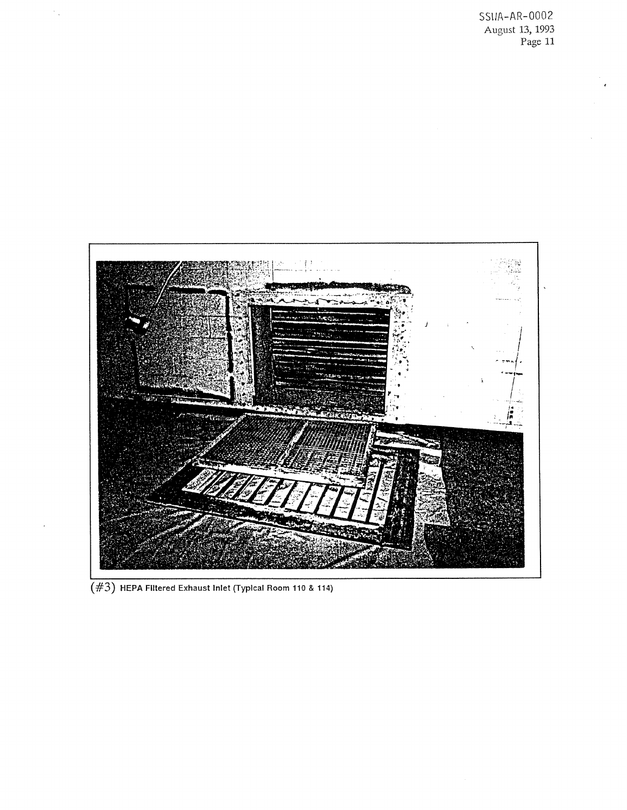SSIJA-AR-0002 August 13,1993 Page 11



*(#3)* **HEPA** Filtered Exhaust Inlet (Typlcal **Room** 110 & **114)**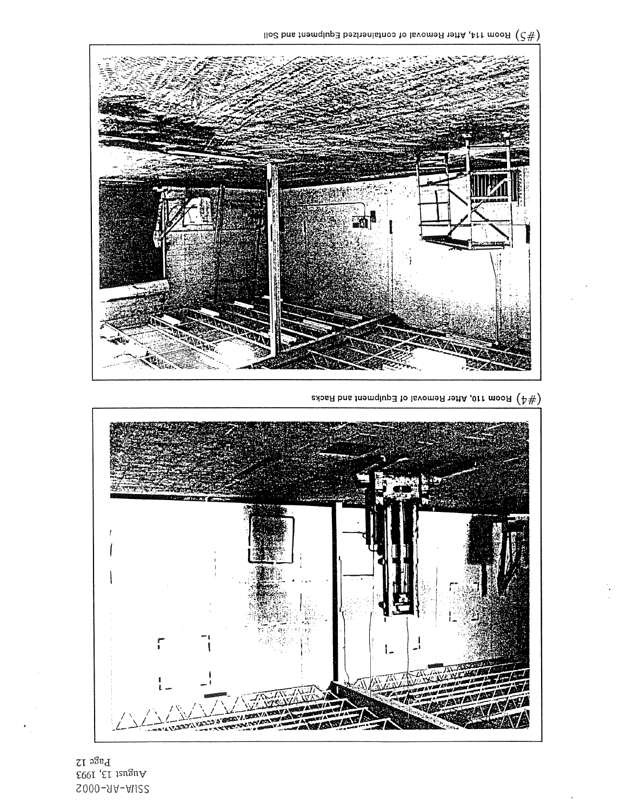$\rm _{L}$  age 12  $\mathop{\mathsf{E01}}$  ,<br>E1 124, 1993 S000-9A-Ali22



adom 110, After Removal of Equipment and Racks  $(\mathbb{A}^{\#})$ 



llo $\mathcal C$  bns the flemon to lay  $\mathcal C$  is the flemon solution of  $(\mathcal C\#)$